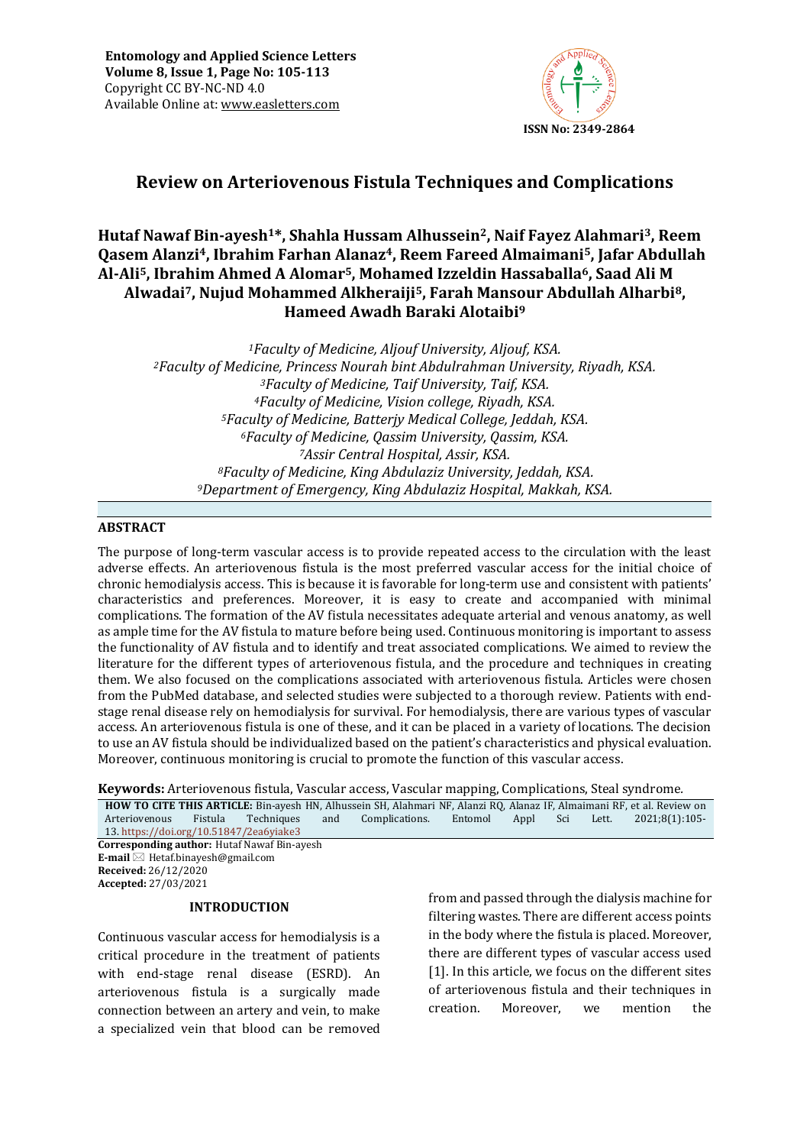

# **Review on Arteriovenous Fistula Techniques and Complications**

# **Hutaf Nawaf Bin-ayesh1\*, Shahla Hussam Alhussein2, Naif Fayez Alahmari3, Reem Qasem Alanzi4, Ibrahim Farhan Alanaz4, Reem Fareed Almaimani5, Jafar Abdullah Al-Ali5, Ibrahim Ahmed A Alomar5, Mohamed Izzeldin Hassaballa6, Saad Ali M Alwadai7, Nujud Mohammed Alkheraiji5, Farah Mansour Abdullah Alharbi8, Hameed Awadh Baraki Alotaibi<sup>9</sup>**

*Faculty of Medicine, Aljouf University, Aljouf, KSA. Faculty of Medicine, Princess Nourah bint Abdulrahman University, Riyadh, KSA. Faculty of Medicine, Taif University, Taif, KSA. Faculty of Medicine, Vision college, Riyadh, KSA. Faculty of Medicine, Batterjy Medical College, Jeddah, KSA. Faculty of Medicine, Qassim University, Qassim, KSA. Assir Central Hospital, Assir, KSA. Faculty of Medicine, King Abdulaziz University, Jeddah, KSA. Department of Emergency, King Abdulaziz Hospital, Makkah, KSA.*

### **ABSTRACT**

The purpose of long-term vascular access is to provide repeated access to the circulation with the least adverse effects. An arteriovenous fistula is the most preferred vascular access for the initial choice of chronic hemodialysis access. This is because it is favorable for long-term use and consistent with patients' characteristics and preferences. Moreover, it is easy to create and accompanied with minimal complications. The formation of the AV fistula necessitates adequate arterial and venous anatomy, as well as ample time for the AV fistula to mature before being used. Continuous monitoring is important to assess the functionality of AV fistula and to identify and treat associated complications. We aimed to review the literature for the different types of arteriovenous fistula, and the procedure and techniques in creating them. We also focused on the complications associated with arteriovenous fistula. Articles were chosen from the PubMed database, and selected studies were subjected to a thorough review. Patients with endstage renal disease rely on hemodialysis for survival. For hemodialysis, there are various types of vascular access. An arteriovenous fistula is one of these, and it can be placed in a variety of locations. The decision to use an AV fistula should be individualized based on the patient's characteristics and physical evaluation. Moreover, continuous monitoring is crucial to promote the function of this vascular access.

**Keywords:** Arteriovenous fistula, Vascular access, Vascular mapping, Complications, Steal syndrome*.*

|                                                    |         |            |     | <b>HOW TO CITE THIS ARTICLE:</b> Bin-ayesh HN, Alhussein SH, Alahmari NF, Alanzi RQ, Alanaz IF, Almaimani RF, et al. Review on |         |      |  |       |                |
|----------------------------------------------------|---------|------------|-----|--------------------------------------------------------------------------------------------------------------------------------|---------|------|--|-------|----------------|
| Arteriovenous                                      | Fistula | Techniques | and | Complications.                                                                                                                 | Entomol | Appl |  | Lett. | 2021:8(1):105- |
| 13. https://doi.org/10.51847/2ea6yiake3            |         |            |     |                                                                                                                                |         |      |  |       |                |
| <b>Corresponding author: Hutaf Nawaf Bin-ayesh</b> |         |            |     |                                                                                                                                |         |      |  |       |                |
| <b>E-mail</b> $\boxtimes$ Hetaf.binayesh@gmail.com |         |            |     |                                                                                                                                |         |      |  |       |                |
| <b>Received:</b> 26/12/2020                        |         |            |     |                                                                                                                                |         |      |  |       |                |

**Accepted:** 27/03/2021

#### **INTRODUCTION**

Continuous vascular access for hemodialysis is a critical procedure in the treatment of patients with end-stage renal disease (ESRD). An arteriovenous fistula is a surgically made connection between an artery and vein, to make a specialized vein that blood can be removed from and passed through the dialysis machine for filtering wastes. There are different access points in the body where the fistula is placed. Moreover, there are different types of vascular access used [1]. In this article, we focus on the different sites of arteriovenous fistula and their techniques in creation. Moreover, we mention the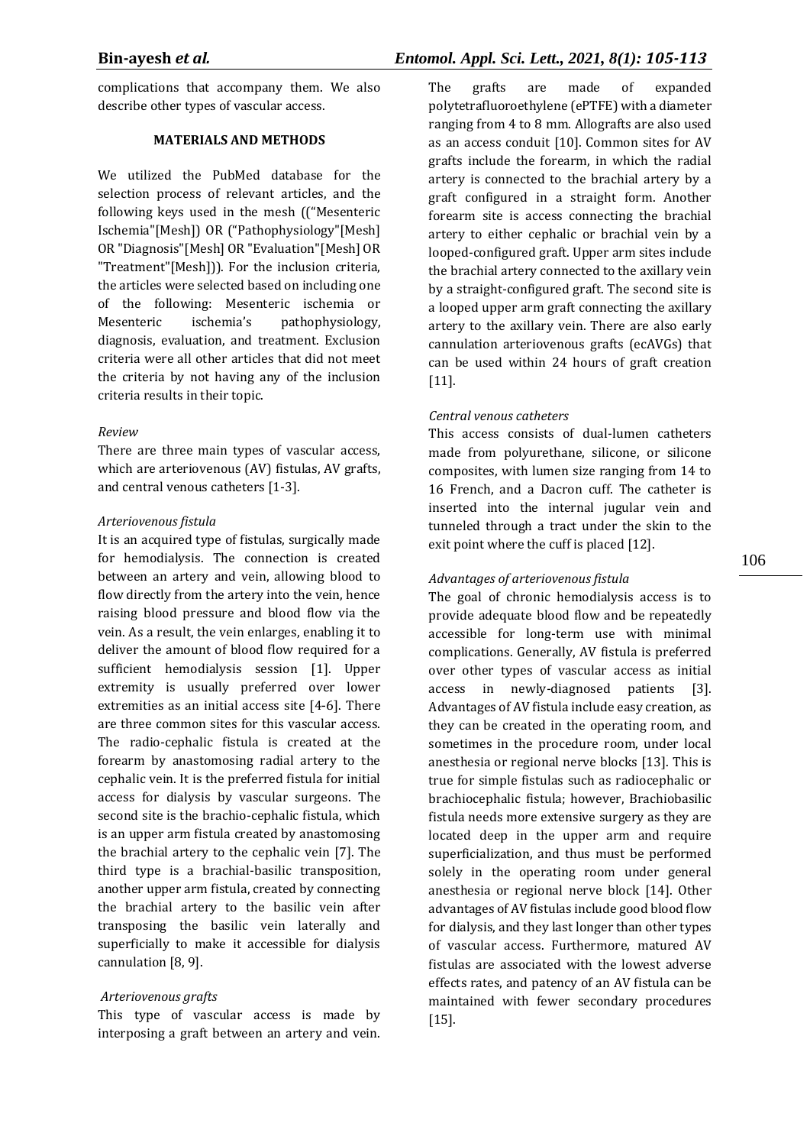complications that accompany them. We also describe other types of vascular access.

### **MATERIALS AND METHODS**

We utilized the PubMed database for the selection process of relevant articles, and the following keys used in the mesh (("Mesenteric Ischemia"[Mesh]) OR ("Pathophysiology"[Mesh] OR "Diagnosis"[Mesh] OR "Evaluation"[Mesh] OR "Treatment"[Mesh])). For the inclusion criteria, the articles were selected based on including one of the following: Mesenteric ischemia or Mesenteric ischemia's pathophysiology, diagnosis, evaluation, and treatment. Exclusion criteria were all other articles that did not meet the criteria by not having any of the inclusion criteria results in their topic.

#### *Review*

There are three main types of vascular access, which are arteriovenous (AV) fistulas, AV grafts, and central venous catheters [1-3].

#### *Arteriovenous fistula*

It is an acquired type of fistulas, surgically made for hemodialysis. The connection is created between an artery and vein, allowing blood to flow directly from the artery into the vein, hence raising blood pressure and blood flow via the vein. As a result, the vein enlarges, enabling it to deliver the amount of blood flow required for a sufficient hemodialysis session [1]. Upper extremity is usually preferred over lower extremities as an initial access site [4-6]. There are three common sites for this vascular access. The radio-cephalic fistula is created at the forearm by anastomosing radial artery to the cephalic vein. It is the preferred fistula for initial access for dialysis by vascular surgeons. The second site is the brachio-cephalic fistula, which is an upper arm fistula created by anastomosing the brachial artery to the cephalic vein [7]. The third type is a brachial-basilic transposition, another upper arm fistula, created by connecting the brachial artery to the basilic vein after transposing the basilic vein laterally and superficially to make it accessible for dialysis cannulation [8, 9].

#### *Arteriovenous grafts*

This type of vascular access is made by interposing a graft between an artery and vein. The grafts are made of expanded polytetrafluoroethylene (ePTFE) with a diameter ranging from 4 to 8 mm. Allografts are also used as an access conduit [10]. Common sites for AV grafts include the forearm, in which the radial artery is connected to the brachial artery by a graft configured in a straight form. Another forearm site is access connecting the brachial artery to either cephalic or brachial vein by a looped-configured graft. Upper arm sites include the brachial artery connected to the axillary vein by a straight-configured graft. The second site is a looped upper arm graft connecting the axillary artery to the axillary vein. There are also early cannulation arteriovenous grafts (ecAVGs) that can be used within 24 hours of graft creation [11].

### *Central venous catheters*

This access consists of dual-lumen catheters made from polyurethane, silicone, or silicone composites, with lumen size ranging from 14 to 16 French, and a Dacron cuff. The catheter is inserted into the internal jugular vein and tunneled through a tract under the skin to the exit point where the cuff is placed [12].

### *Advantages of arteriovenous fistula*

The goal of chronic hemodialysis access is to provide adequate blood flow and be repeatedly accessible for long-term use with minimal complications. Generally, AV fistula is preferred over other types of vascular access as initial access in newly-diagnosed patients [3]. Advantages of AV fistula include easy creation, as they can be created in the operating room, and sometimes in the procedure room, under local anesthesia or regional nerve blocks [13]. This is true for simple fistulas such as radiocephalic or brachiocephalic fistula; however, Brachiobasilic fistula needs more extensive surgery as they are located deep in the upper arm and require superficialization, and thus must be performed solely in the operating room under general anesthesia or regional nerve block [14]. Other advantages of AV fistulas include good blood flow for dialysis, and they last longer than other types of vascular access. Furthermore, matured AV fistulas are associated with the lowest adverse effects rates, and patency of an AV fistula can be maintained with fewer secondary procedures [15].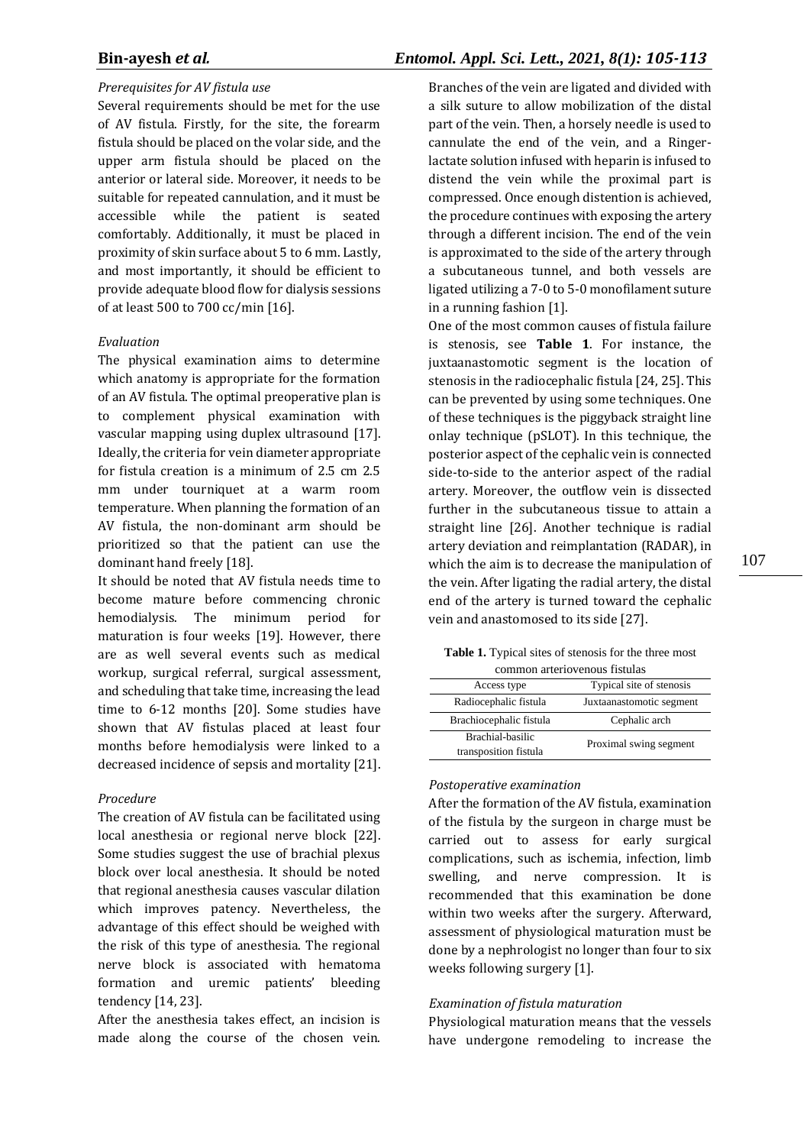### *Prerequisites for AV fistula use*

Several requirements should be met for the use of AV fistula. Firstly, for the site, the forearm fistula should be placed on the volar side, and the upper arm fistula should be placed on the anterior or lateral side. Moreover, it needs to be suitable for repeated cannulation, and it must be accessible while the patient is seated comfortably. Additionally, it must be placed in proximity of skin surface about 5 to 6 mm. Lastly, and most importantly, it should be efficient to provide adequate blood flow for dialysis sessions of at least 500 to 700 cc/min [16].

#### *Evaluation*

The physical examination aims to determine which anatomy is appropriate for the formation of an AV fistula. The optimal preoperative plan is to complement physical examination with vascular mapping using duplex ultrasound [17]. Ideally, the criteria for vein diameter appropriate for fistula creation is a minimum of 2.5 cm 2.5 mm under tourniquet at a warm room temperature. When planning the formation of an AV fistula, the non-dominant arm should be prioritized so that the patient can use the dominant hand freely [18].

It should be noted that AV fistula needs time to become mature before commencing chronic hemodialysis. The minimum period for maturation is four weeks [19]. However, there are as well several events such as medical workup, surgical referral, surgical assessment, and scheduling that take time, increasing the lead time to 6-12 months [20]. Some studies have shown that AV fistulas placed at least four months before hemodialysis were linked to a decreased incidence of sepsis and mortality [21].

#### *Procedure*

The creation of AV fistula can be facilitated using local anesthesia or regional nerve block [22]. Some studies suggest the use of brachial plexus block over local anesthesia. It should be noted that regional anesthesia causes vascular dilation which improves patency. Nevertheless, the advantage of this effect should be weighed with the risk of this type of anesthesia. The regional nerve block is associated with hematoma formation and uremic patients' bleeding tendency [14, 23].

After the anesthesia takes effect, an incision is made along the course of the chosen vein.

## **Bin-ayesh** *et al.**Entomol. Appl. Sci. Lett., 2021, 8(1): 105-113*

Branches of the vein are ligated and divided with a silk suture to allow mobilization of the distal part of the vein. Then, a horsely needle is used to cannulate the end of the vein, and a Ringerlactate solution infused with heparin is infused to distend the vein while the proximal part is compressed. Once enough distention is achieved, the procedure continues with exposing the artery through a different incision. The end of the vein is approximated to the side of the artery through a subcutaneous tunnel, and both vessels are ligated utilizing a 7-0 to 5-0 monofilament suture in a running fashion [1].

One of the most common causes of fistula failure is stenosis, see **Table 1**. For instance, the juxtaanastomotic segment is the location of stenosis in the radiocephalic fistula [24, 25]. This can be prevented by using some techniques. One of these techniques is the piggyback straight line onlay technique (pSLOT). In this technique, the posterior aspect of the cephalic vein is connected side-to-side to the anterior aspect of the radial artery. Moreover, the outflow vein is dissected further in the subcutaneous tissue to attain a straight line [26]. Another technique is radial artery deviation and reimplantation (RADAR), in which the aim is to decrease the manipulation of the vein. After ligating the radial artery, the distal end of the artery is turned toward the cephalic vein and anastomosed to its side [27].

| <b>Table 1.</b> Typical sites of stenosis for the three most |
|--------------------------------------------------------------|
| common arteriovenous fistulas                                |

| Access type             | Typical site of stenosis |  |  |  |  |  |
|-------------------------|--------------------------|--|--|--|--|--|
| Radiocephalic fistula   | Juxtaanastomotic segment |  |  |  |  |  |
| Brachiocephalic fistula | Cephalic arch            |  |  |  |  |  |
| Brachial-basilic        | Proximal swing segment   |  |  |  |  |  |
| transposition fistula   |                          |  |  |  |  |  |

#### *Postoperative examination*

After the formation of the AV fistula, examination of the fistula by the surgeon in charge must be carried out to assess for early surgical complications, such as ischemia, infection, limb swelling, and nerve compression. It is recommended that this examination be done within two weeks after the surgery. Afterward, assessment of physiological maturation must be done by a nephrologist no longer than four to six weeks following surgery [1].

#### *Examination of fistula maturation*

Physiological maturation means that the vessels have undergone remodeling to increase the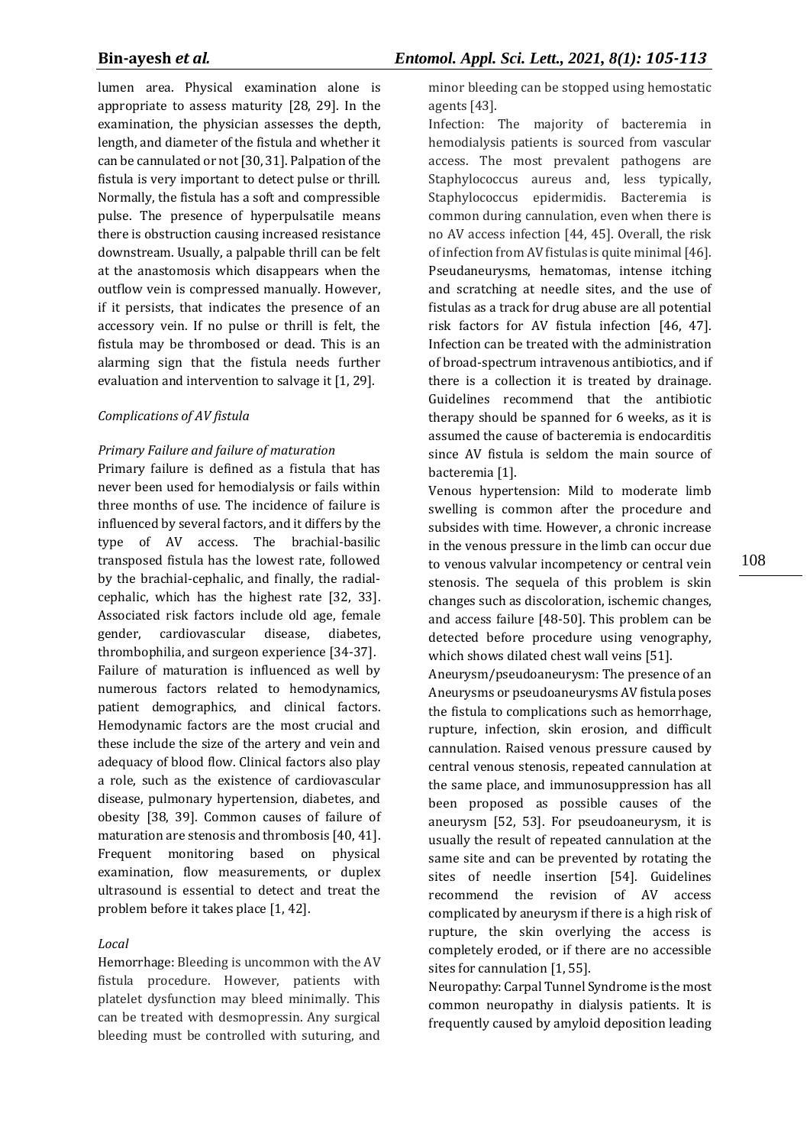lumen area. Physical examination alone is appropriate to assess maturity [28, 29]. In the examination, the physician assesses the depth, length, and diameter of the fistula and whether it can be cannulated or not [30, 31]. Palpation of the fistula is very important to detect pulse or thrill. Normally, the fistula has a soft and compressible pulse. The presence of hyperpulsatile means there is obstruction causing increased resistance downstream. Usually, a palpable thrill can be felt at the anastomosis which disappears when the outflow vein is compressed manually. However, if it persists, that indicates the presence of an accessory vein. If no pulse or thrill is felt, the fistula may be thrombosed or dead. This is an alarming sign that the fistula needs further evaluation and intervention to salvage it [1, 29].

#### *Complications of AV fistula*

#### *Primary Failure and failure of maturation*

Primary failure is defined as a fistula that has never been used for hemodialysis or fails within three months of use. The incidence of failure is influenced by several factors, and it differs by the type of AV access. The brachial-basilic transposed fistula has the lowest rate, followed by the brachial-cephalic, and finally, the radialcephalic, which has the highest rate [32, 33]. Associated risk factors include old age, female gender, cardiovascular disease, diabetes, thrombophilia, and surgeon experience [34-37]. Failure of maturation is influenced as well by numerous factors related to hemodynamics, patient demographics, and clinical factors. Hemodynamic factors are the most crucial and these include the size of the artery and vein and adequacy of blood flow. Clinical factors also play a role, such as the existence of cardiovascular disease, pulmonary hypertension, diabetes, and obesity [38, 39]. Common causes of failure of maturation are stenosis and thrombosis [40, 41]. Frequent monitoring based on physical examination, flow measurements, or duplex ultrasound is essential to detect and treat the problem before it takes place [1, 42].

#### *Local*

Hemorrhage: Bleeding is uncommon with the AV fistula procedure. However, patients with platelet dysfunction may bleed minimally. This can be treated with desmopressin. Any surgical bleeding must be controlled with suturing, and minor bleeding can be stopped using hemostatic agents [43].

Infection: The majority of bacteremia in hemodialysis patients is sourced from vascular access. The most prevalent pathogens are Staphylococcus aureus and, less typically, Staphylococcus epidermidis. Bacteremia is common during cannulation, even when there is no AV access infection [44, 45]. Overall, the risk of infection from AV fistulas is quite minimal [46]. Pseudaneurysms, hematomas, intense itching and scratching at needle sites, and the use of fistulas as a track for drug abuse are all potential risk factors for AV fistula infection [46, 47]. Infection can be treated with the administration of broad-spectrum intravenous antibiotics, and if there is a collection it is treated by drainage. Guidelines recommend that the antibiotic therapy should be spanned for 6 weeks, as it is assumed the cause of bacteremia is endocarditis since AV fistula is seldom the main source of bacteremia [1].

Venous hypertension: Mild to moderate limb swelling is common after the procedure and subsides with time. However, a chronic increase in the venous pressure in the limb can occur due to venous valvular incompetency or central vein stenosis. The sequela of this problem is skin changes such as discoloration, ischemic changes, and access failure [48-50]. This problem can be detected before procedure using venography, which shows dilated chest wall veins [51].

Aneurysm/pseudoaneurysm: The presence of an Aneurysms or pseudoaneurysms AV fistula poses the fistula to complications such as hemorrhage, rupture, infection, skin erosion, and difficult cannulation. Raised venous pressure caused by central venous stenosis, repeated cannulation at the same place, and immunosuppression has all been proposed as possible causes of the aneurysm [52, 53]. For pseudoaneurysm, it is usually the result of repeated cannulation at the same site and can be prevented by rotating the sites of needle insertion [54]. Guidelines recommend the revision of AV access complicated by aneurysm if there is a high risk of rupture, the skin overlying the access is completely eroded, or if there are no accessible sites for cannulation [1, 55].

Neuropathy: Carpal Tunnel Syndrome is the most common neuropathy in dialysis patients. It is frequently caused by amyloid deposition leading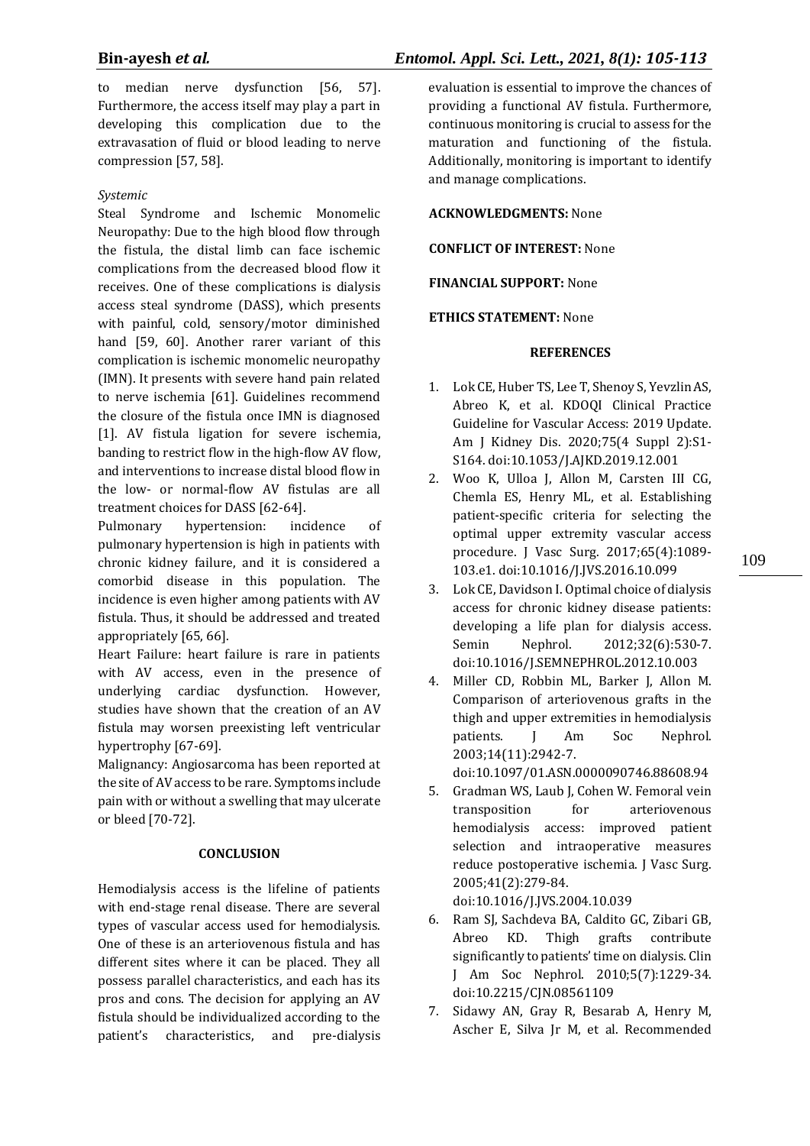to median nerve dysfunction [56, 57]. Furthermore, the access itself may play a part in developing this complication due to the extravasation of fluid or blood leading to nerve compression [57, 58].

## *Systemic*

Steal Syndrome and Ischemic Monomelic Neuropathy: Due to the high blood flow through the fistula, the distal limb can face ischemic complications from the decreased blood flow it receives. One of these complications is dialysis access steal syndrome (DASS), which presents with painful, cold, sensory/motor diminished hand [59, 60]. Another rarer variant of this complication is ischemic monomelic neuropathy (IMN). It presents with severe hand pain related to nerve ischemia [61]. Guidelines recommend the closure of the fistula once IMN is diagnosed [1]. AV fistula ligation for severe ischemia, banding to restrict flow in the high-flow AV flow, and interventions to increase distal blood flow in the low- or normal-flow AV fistulas are all treatment choices for DASS [62-64].

Pulmonary hypertension: incidence of pulmonary hypertension is high in patients with chronic kidney failure, and it is considered a comorbid disease in this population. The incidence is even higher among patients with AV fistula. Thus, it should be addressed and treated appropriately [65, 66].

Heart Failure: heart failure is rare in patients with AV access, even in the presence of underlying cardiac dysfunction. However, studies have shown that the creation of an AV fistula may worsen preexisting left ventricular hypertrophy [67-69].

Malignancy: Angiosarcoma has been reported at the site of AV access to be rare. Symptoms include pain with or without a swelling that may ulcerate or bleed [70-72].

## **CONCLUSION**

Hemodialysis access is the lifeline of patients with end-stage renal disease. There are several types of vascular access used for hemodialysis. One of these is an arteriovenous fistula and has different sites where it can be placed. They all possess parallel characteristics, and each has its pros and cons. The decision for applying an AV fistula should be individualized according to the patient's characteristics, and pre-dialysis

evaluation is essential to improve the chances of providing a functional AV fistula. Furthermore, continuous monitoring is crucial to assess for the maturation and functioning of the fistula. Additionally, monitoring is important to identify and manage complications.

## **ACKNOWLEDGMENTS:** None

**CONFLICT OF INTEREST:** None

**FINANCIAL SUPPORT:** None

## **ETHICS STATEMENT:** None

## **REFERENCES**

- 1. Lok CE, Huber TS, Lee T, Shenoy S, Yevzlin AS, Abreo K, et al. KDOQI Clinical Practice Guideline for Vascular Access: 2019 Update. Am J Kidney Dis. 2020;75(4 Suppl 2):S1- S164. doi:10.1053/J.AJKD.2019.12.001
- 2. Woo K, Ulloa J, Allon M, Carsten III CG, Chemla ES, Henry ML, et al. Establishing patient-specific criteria for selecting the optimal upper extremity vascular access procedure. J Vasc Surg. 2017;65(4):1089- 103.e1. doi:10.1016/J.JVS.2016.10.099
- 3. Lok CE, Davidson I. Optimal choice of dialysis access for chronic kidney disease patients: developing a life plan for dialysis access. Semin Nephrol. 2012;32(6):530-7. doi:10.1016/J.SEMNEPHROL.2012.10.003
- 4. Miller CD, Robbin ML, Barker J, Allon M. Comparison of arteriovenous grafts in the thigh and upper extremities in hemodialysis patients. J Am Soc Nephrol. 2003;14(11):2942-7.

doi:10.1097/01.ASN.0000090746.88608.94

5. Gradman WS, Laub J, Cohen W. Femoral vein transposition for arteriovenous hemodialysis access: improved patient selection and intraoperative measures reduce postoperative ischemia. J Vasc Surg. 2005;41(2):279-84.

doi:10.1016/J.JVS.2004.10.039

- 6. Ram SJ, Sachdeva BA, Caldito GC, Zibari GB, Abreo KD. Thigh grafts contribute significantly to patients' time on dialysis. Clin J Am Soc Nephrol. 2010;5(7):1229-34. doi:10.2215/CJN.08561109
- 7. Sidawy AN, Gray R, Besarab A, Henry M, Ascher E, Silva Jr M, et al. Recommended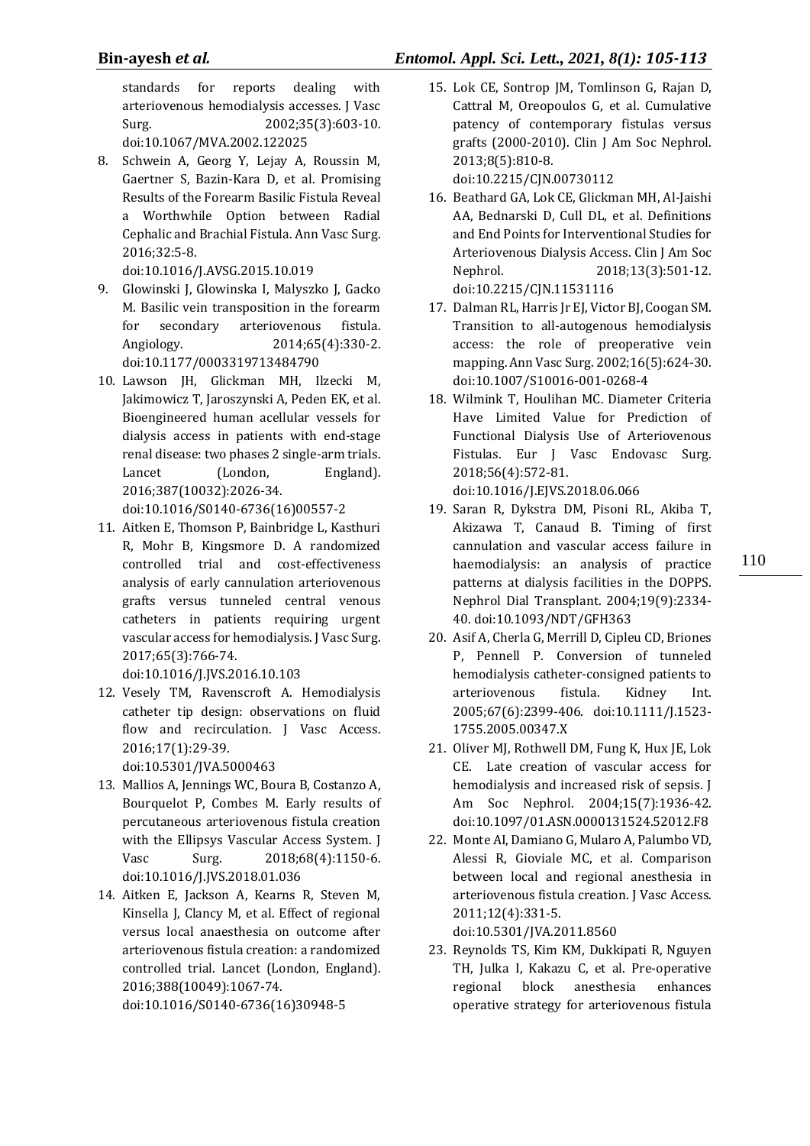standards for reports dealing with arteriovenous hemodialysis accesses. J Vasc Surg. 2002;35(3):603-10. doi:10.1067/MVA.2002.122025

8. Schwein A, Georg Y, Lejay A, Roussin M, Gaertner S, Bazin-Kara D, et al. Promising Results of the Forearm Basilic Fistula Reveal a Worthwhile Option between Radial Cephalic and Brachial Fistula. Ann Vasc Surg. 2016;32:5-8.

doi:10.1016/J.AVSG.2015.10.019

- 9. Glowinski J, Glowinska I, Malyszko J, Gacko M. Basilic vein transposition in the forearm for secondary arteriovenous fistula. Angiology. 2014;65(4):330-2. doi:10.1177/0003319713484790
- 10. Lawson JH, Glickman MH, Ilzecki M, Jakimowicz T, Jaroszynski A, Peden EK, et al. Bioengineered human acellular vessels for dialysis access in patients with end-stage renal disease: two phases 2 single-arm trials. Lancet (London, England). 2016;387(10032):2026-34. doi:10.1016/S0140-6736(16)00557-2
- 11. Aitken E, Thomson P, Bainbridge L, Kasthuri R, Mohr B, Kingsmore D. A randomized controlled trial and cost-effectiveness analysis of early cannulation arteriovenous grafts versus tunneled central venous catheters in patients requiring urgent vascular access for hemodialysis. J Vasc Surg. 2017;65(3):766-74.

doi:10.1016/J.JVS.2016.10.103

12. Vesely TM, Ravenscroft A. Hemodialysis catheter tip design: observations on fluid flow and recirculation. J Vasc Access. 2016;17(1):29-39.

doi:10.5301/JVA.5000463

- 13. Mallios A, Jennings WC, Boura B, Costanzo A, Bourquelot P, Combes M. Early results of percutaneous arteriovenous fistula creation with the Ellipsys Vascular Access System. J Vasc Surg. 2018;68(4):1150-6. doi:10.1016/J.JVS.2018.01.036
- 14. Aitken E, Jackson A, Kearns R, Steven M, Kinsella J, Clancy M, et al. Effect of regional versus local anaesthesia on outcome after arteriovenous fistula creation: a randomized controlled trial. Lancet (London, England). 2016;388(10049):1067-74.

doi:10.1016/S0140-6736(16)30948-5

15. Lok CE, Sontrop JM, Tomlinson G, Rajan D, Cattral M, Oreopoulos G, et al. Cumulative patency of contemporary fistulas versus grafts (2000-2010). Clin J Am Soc Nephrol. 2013;8(5):810-8.

doi:10.2215/CJN.00730112

- 16. Beathard GA, Lok CE, Glickman MH, Al-Jaishi AA, Bednarski D, Cull DL, et al. Definitions and End Points for Interventional Studies for Arteriovenous Dialysis Access. Clin J Am Soc Nephrol. 2018;13(3):501-12. doi:10.2215/CJN.11531116
- 17. Dalman RL, Harris Jr EJ, Victor BJ, Coogan SM. Transition to all-autogenous hemodialysis access: the role of preoperative vein mapping. Ann Vasc Surg. 2002;16(5):624-30. doi:10.1007/S10016-001-0268-4
- 18. Wilmink T, Houlihan MC. Diameter Criteria Have Limited Value for Prediction of Functional Dialysis Use of Arteriovenous Fistulas. Eur J Vasc Endovasc Surg. 2018;56(4):572-81.

doi:10.1016/J.EJVS.2018.06.066

- 19. Saran R, Dykstra DM, Pisoni RL, Akiba T, Akizawa T, Canaud B. Timing of first cannulation and vascular access failure in haemodialysis: an analysis of practice patterns at dialysis facilities in the DOPPS. Nephrol Dial Transplant. 2004;19(9):2334- 40. doi:10.1093/NDT/GFH363
- 20. Asif A, Cherla G, Merrill D, Cipleu CD, Briones P, Pennell P. Conversion of tunneled hemodialysis catheter-consigned patients to arteriovenous fistula. Kidney Int. 2005;67(6):2399-406. doi:10.1111/J.1523- 1755.2005.00347.X
- 21. Oliver MJ, Rothwell DM, Fung K, Hux JE, Lok CE. Late creation of vascular access for hemodialysis and increased risk of sepsis. J Am Soc Nephrol. 2004;15(7):1936-42. doi:10.1097/01.ASN.0000131524.52012.F8
- 22. Monte AI, Damiano G, Mularo A, Palumbo VD, Alessi R, Gioviale MC, et al. Comparison between local and regional anesthesia in arteriovenous fistula creation. J Vasc Access. 2011;12(4):331-5.

doi:10.5301/JVA.2011.8560

23. Reynolds TS, Kim KM, Dukkipati R, Nguyen TH, Julka I, Kakazu C, et al. Pre-operative regional block anesthesia enhances operative strategy for arteriovenous fistula 110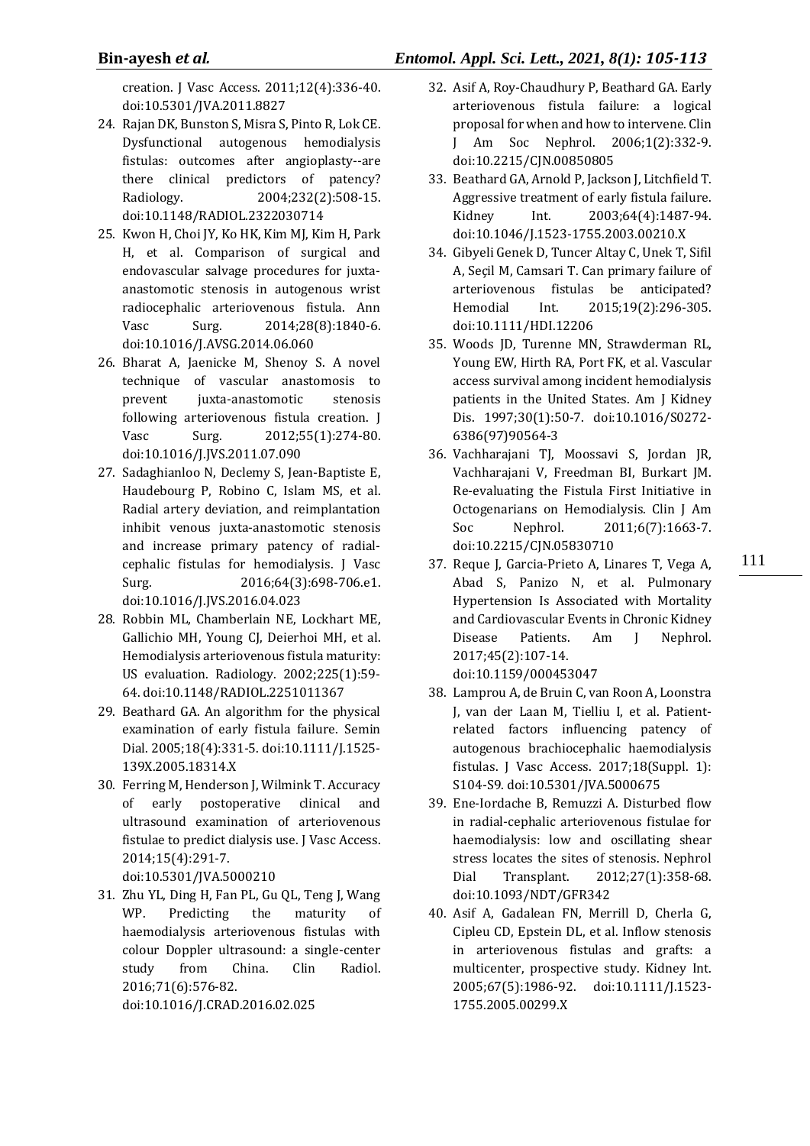creation. J Vasc Access. 2011;12(4):336-40. doi:10.5301/JVA.2011.8827

- 24. Rajan DK, Bunston S, Misra S, Pinto R, Lok CE. Dysfunctional autogenous hemodialysis fistulas: outcomes after angioplasty--are there clinical predictors of patency? Radiology. 2004;232(2):508-15. doi:10.1148/RADIOL.2322030714
- 25. Kwon H, Choi JY, Ko HK, Kim MJ, Kim H, Park H, et al. Comparison of surgical and endovascular salvage procedures for juxtaanastomotic stenosis in autogenous wrist radiocephalic arteriovenous fistula. Ann Vasc Surg. 2014;28(8):1840-6. doi:10.1016/J.AVSG.2014.06.060
- 26. Bharat A, Jaenicke M, Shenoy S. A novel technique of vascular anastomosis to prevent juxta-anastomotic stenosis following arteriovenous fistula creation. J Vasc Surg. 2012;55(1):274-80. doi:10.1016/J.JVS.2011.07.090
- 27. Sadaghianloo N, Declemy S, Jean-Baptiste E, Haudebourg P, Robino C, Islam MS, et al. Radial artery deviation, and reimplantation inhibit venous juxta-anastomotic stenosis and increase primary patency of radialcephalic fistulas for hemodialysis. J Vasc Surg. 2016;64(3):698-706.e1. doi:10.1016/J.JVS.2016.04.023
- 28. Robbin ML, Chamberlain NE, Lockhart ME, Gallichio MH, Young CJ, Deierhoi MH, et al. Hemodialysis arteriovenous fistula maturity: US evaluation. Radiology. 2002;225(1):59- 64. doi:10.1148/RADIOL.2251011367
- 29. Beathard GA. An algorithm for the physical examination of early fistula failure. Semin Dial. 2005;18(4):331-5. doi:10.1111/J.1525- 139X.2005.18314.X
- 30. Ferring M, Henderson J, Wilmink T. Accuracy of early postoperative clinical and ultrasound examination of arteriovenous fistulae to predict dialysis use. J Vasc Access. 2014;15(4):291-7. doi:10.5301/JVA.5000210
- 31. Zhu YL, Ding H, Fan PL, Gu QL, Teng J, Wang WP. Predicting the maturity of haemodialysis arteriovenous fistulas with colour Doppler ultrasound: a single-center study from China. Clin Radiol. 2016;71(6):576-82. doi:10.1016/J.CRAD.2016.02.025
- 32. Asif A, Roy-Chaudhury P, Beathard GA. Early arteriovenous fistula failure: a logical proposal for when and how to intervene. Clin J Am Soc Nephrol. 2006;1(2):332-9. doi:10.2215/CJN.00850805
- 33. Beathard GA, Arnold P, Jackson J, Litchfield T. Aggressive treatment of early fistula failure. Kidney Int. 2003;64(4):1487-94. doi:10.1046/J.1523-1755.2003.00210.X
- 34. Gibyeli Genek D, Tuncer Altay C, Unek T, Sifil A, Seçil M, Camsari T. Can primary failure of arteriovenous fistulas be anticipated? Hemodial Int. 2015;19(2):296-305. doi:10.1111/HDI.12206
- 35. Woods JD, Turenne MN, Strawderman RL, Young EW, Hirth RA, Port FK, et al. Vascular access survival among incident hemodialysis patients in the United States. Am J Kidney Dis. 1997;30(1):50-7. doi:10.1016/S0272- 6386(97)90564-3
- 36. Vachharajani TJ, Moossavi S, Jordan JR, Vachharajani V, Freedman BI, Burkart JM. Re-evaluating the Fistula First Initiative in Octogenarians on Hemodialysis. Clin J Am Soc Nephrol. 2011;6(7):1663-7. doi:10.2215/CJN.05830710
- 37. Reque J, Garcia-Prieto A, Linares T, Vega A, Abad S, Panizo N, et al. Pulmonary Hypertension Is Associated with Mortality and Cardiovascular Events in Chronic Kidney Disease Patients. Am J Nephrol. 2017;45(2):107-14. doi:10.1159/000453047

111

- 38. Lamprou A, de Bruin C, van Roon A, Loonstra J, van der Laan M, Tielliu I, et al. Patientrelated factors influencing patency of autogenous brachiocephalic haemodialysis fistulas. J Vasc Access. 2017;18(Suppl. 1): S104-S9. doi:10.5301/JVA.5000675
- 39. Ene-Iordache B, Remuzzi A. Disturbed flow in radial-cephalic arteriovenous fistulae for haemodialysis: low and oscillating shear stress locates the sites of stenosis. Nephrol Dial Transplant. 2012;27(1):358-68. doi:10.1093/NDT/GFR342
- 40. Asif A, Gadalean FN, Merrill D, Cherla G, Cipleu CD, Epstein DL, et al. Inflow stenosis in arteriovenous fistulas and grafts: a multicenter, prospective study. Kidney Int. 2005;67(5):1986-92. doi:10.1111/J.1523- 1755.2005.00299.X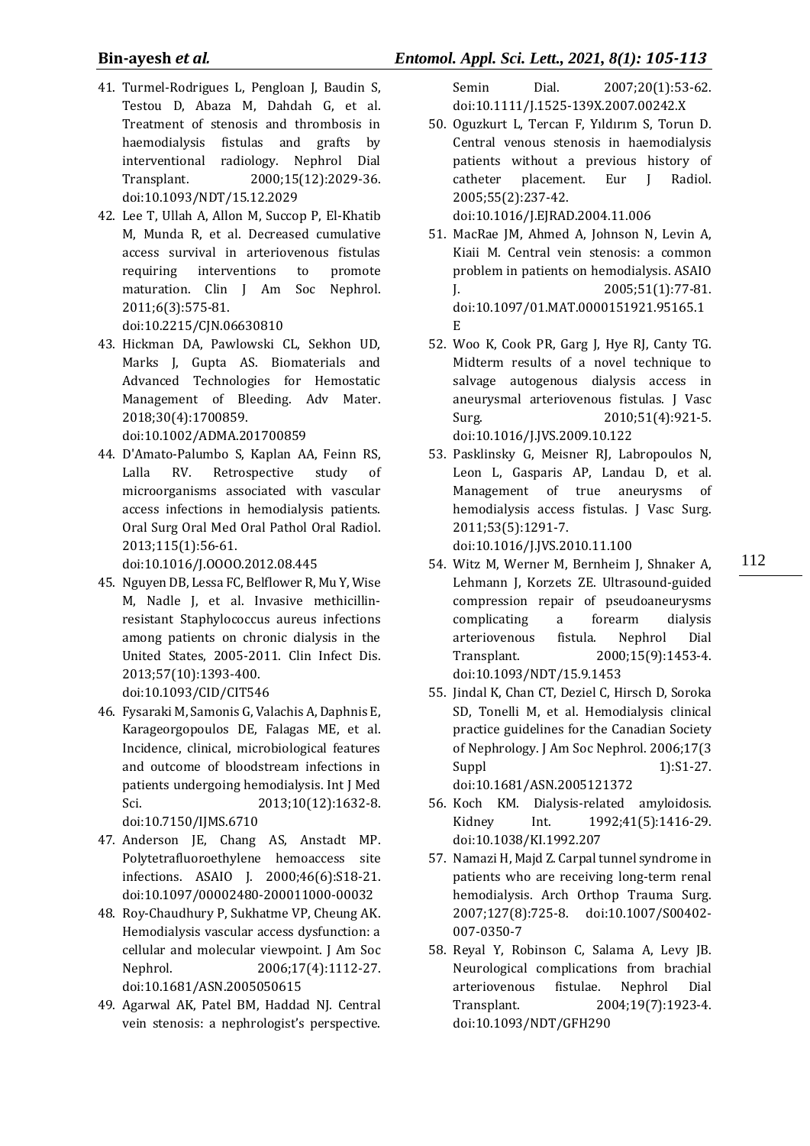# **Bin-ayesh** *et al.**Entomol. Appl. Sci. Lett., 2021, 8(1): 105-113*

- 41. Turmel‐Rodrigues L, Pengloan J, Baudin S, Testou D, Abaza M, Dahdah G, et al. Treatment of stenosis and thrombosis in haemodialysis fistulas and grafts by interventional radiology. Nephrol Dial Transplant. 2000;15(12):2029-36. doi:10.1093/NDT/15.12.2029
- 42. Lee T, Ullah A, Allon M, Succop P, El-Khatib M, Munda R, et al. Decreased cumulative access survival in arteriovenous fistulas requiring interventions to promote maturation. Clin J Am Soc Nephrol. 2011;6(3):575-81. doi:10.2215/CJN.06630810
- 43. Hickman DA, Pawlowski CL, Sekhon UD, Marks J, Gupta AS. Biomaterials and Advanced Technologies for Hemostatic Management of Bleeding. Adv Mater. 2018;30(4):1700859.

doi:10.1002/ADMA.201700859

44. D'Amato-Palumbo S, Kaplan AA, Feinn RS, Lalla RV. Retrospective study of microorganisms associated with vascular access infections in hemodialysis patients. Oral Surg Oral Med Oral Pathol Oral Radiol. 2013;115(1):56-61.

doi:10.1016/J.OOOO.2012.08.445

- 45. Nguyen DB, Lessa FC, Belflower R, Mu Y, Wise M, Nadle J, et al. Invasive methicillinresistant Staphylococcus aureus infections among patients on chronic dialysis in the United States, 2005-2011. Clin Infect Dis. 2013;57(10):1393-400. doi:10.1093/CID/CIT546
- 46. Fysaraki M, Samonis G, Valachis A, Daphnis E, Karageorgopoulos DE, Falagas ME, et al. Incidence, clinical, microbiological features and outcome of bloodstream infections in patients undergoing hemodialysis. Int J Med Sci. 2013;10(12):1632-8. doi:10.7150/IJMS.6710
- 47. Anderson JE, Chang AS, Anstadt MP. Polytetrafluoroethylene hemoaccess site infections. ASAIO J. 2000;46(6):S18-21. doi:10.1097/00002480-200011000-00032
- 48. Roy-Chaudhury P, Sukhatme VP, Cheung AK. Hemodialysis vascular access dysfunction: a cellular and molecular viewpoint. J Am Soc Nephrol. 2006;17(4):1112-27. doi:10.1681/ASN.2005050615
- 49. Agarwal AK, Patel BM, Haddad NJ. Central vein stenosis: a nephrologist's perspective.

Semin Dial. 2007;20(1):53-62. doi:10.1111/J.1525-139X.2007.00242.X

50. Oguzkurt L, Tercan F, Yıldırım S, Torun D. Central venous stenosis in haemodialysis patients without a previous history of catheter placement. Eur J Radiol. 2005;55(2):237-42.

doi:10.1016/J.EJRAD.2004.11.006

- 51. MacRae JM, Ahmed A, Johnson N, Levin A, Kiaii M. Central vein stenosis: a common problem in patients on hemodialysis. ASAIO J. 2005;51(1):77-81. doi:10.1097/01.MAT.0000151921.95165.1 E
- 52. Woo K, Cook PR, Garg J, Hye RJ, Canty TG. Midterm results of a novel technique to salvage autogenous dialysis access in aneurysmal arteriovenous fistulas. J Vasc Surg. 2010;51(4):921-5. doi:10.1016/J.JVS.2009.10.122
- 53. Pasklinsky G, Meisner RJ, Labropoulos N, Leon L, Gasparis AP, Landau D, et al. Management of true aneurysms of hemodialysis access fistulas. J Vasc Surg. 2011;53(5):1291-7.

doi:10.1016/J.JVS.2010.11.100

54. Witz M, Werner M, Bernheim J, Shnaker A, Lehmann J, Korzets ZE. Ultrasound-guided compression repair of pseudoaneurysms complicating a forearm dialysis arteriovenous fistula. Nephrol Dial Transplant. 2000;15(9):1453-4. doi:10.1093/NDT/15.9.1453

112

55. Jindal K, Chan CT, Deziel C, Hirsch D, Soroka SD, Tonelli M, et al. Hemodialysis clinical practice guidelines for the Canadian Society of Nephrology. J Am Soc Nephrol. 2006;17(3 Suppl  $1):S1-27$ . doi:10.1681/ASN.2005121372

56. Koch KM. Dialysis-related amyloidosis. Kidney Int. 1992;41(5):1416-29. doi:10.1038/KI.1992.207

- 57. Namazi H, Majd Z. Carpal tunnel syndrome in patients who are receiving long-term renal hemodialysis. Arch Orthop Trauma Surg. 2007;127(8):725-8. doi:10.1007/S00402- 007-0350-7
- 58. Reyal Y, Robinson C, Salama A, Levy JB. Neurological complications from brachial arteriovenous fistulae. Nephrol Dial Transplant. 2004;19(7):1923-4. doi:10.1093/NDT/GFH290